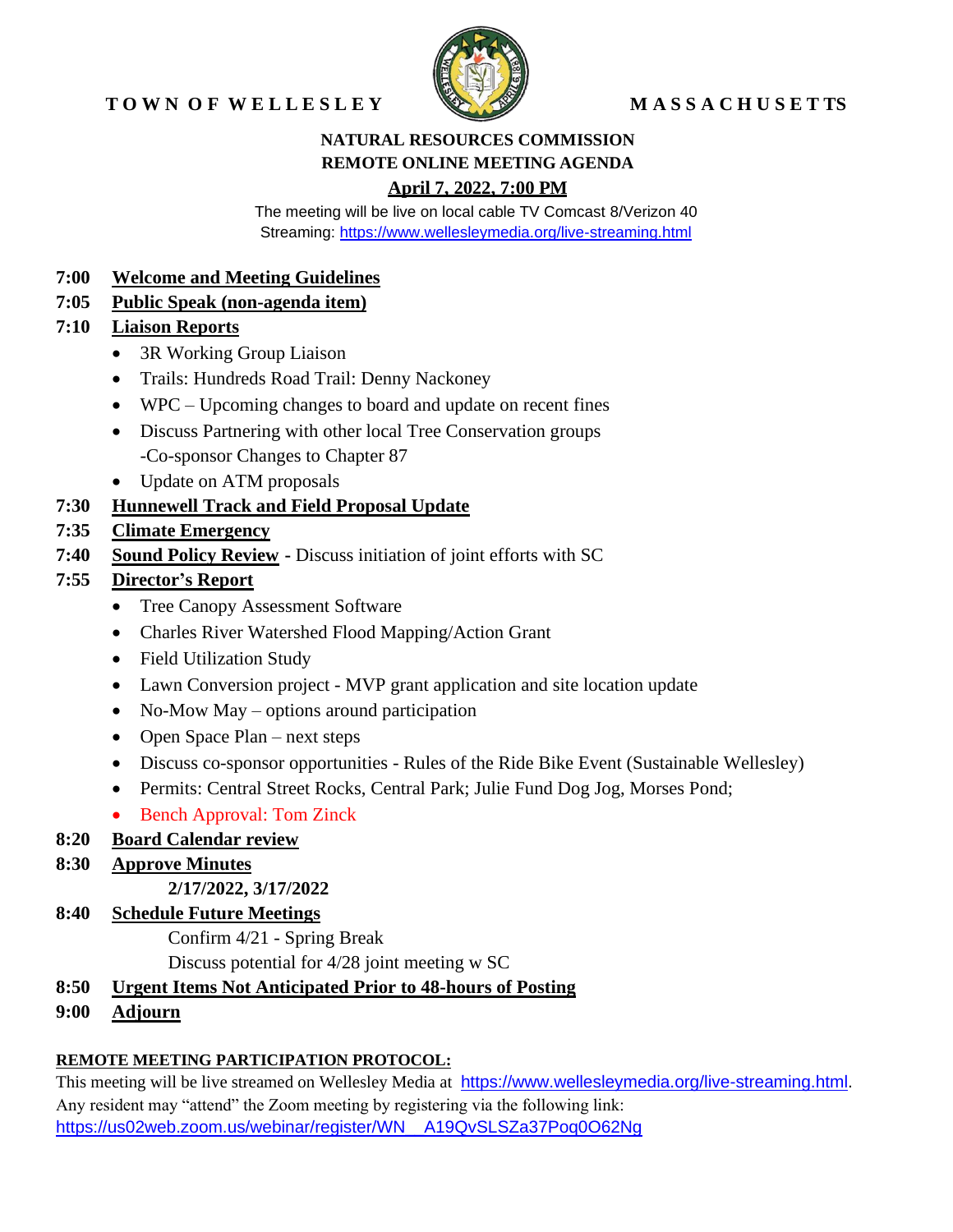# TOWN OF WELLESLEY WASSACHUSETTS



#### **NATURAL RESOURCES COMMISSION REMOTE ONLINE MEETING AGENDA April 7, 2022, 7:00 PM**

The meeting will be live on local cable TV Comcast 8/Verizon 40 Streaming:<https://www.wellesleymedia.org/live-streaming.html>

#### **7:00 Welcome and Meeting Guidelines**

# **7:05 Public Speak (non-agenda item)**

## **7:10 Liaison Reports**

- 3R Working Group Liaison
- Trails: Hundreds Road Trail: Denny Nackoney
- WPC Upcoming changes to board and update on recent fines
- Discuss Partnering with other local Tree Conservation groups -Co-sponsor Changes to Chapter 87
- Update on ATM proposals

# **7:30 Hunnewell Track and Field Proposal Update**

## **7:35 Climate Emergency**

**7:40 Sound Policy Review -** Discuss initiation of joint efforts with SC

# **7:55 Director's Report**

- Tree Canopy Assessment Software
- Charles River Watershed Flood Mapping/Action Grant
- Field Utilization Study
- Lawn Conversion project MVP grant application and site location update
- No-Mow May options around participation
- Open Space Plan next steps
- Discuss co-sponsor opportunities Rules of the Ride Bike Event (Sustainable Wellesley)
- Permits: Central Street Rocks, Central Park; Julie Fund Dog Jog, Morses Pond;
- Bench Approval: Tom Zinck

# **8:20 Board Calendar review**

# **8:30 Approve Minutes**

#### **2/17/2022, 3/17/2022**

# **8:40 Schedule Future Meetings**

Confirm 4/21 - Spring Break

Discuss potential for 4/28 joint meeting w SC

- **8:50 Urgent Items Not Anticipated Prior to 48-hours of Posting**
- **9:00 Adjourn**

# **REMOTE MEETING PARTICIPATION PROTOCOL:**

This meeting will be live streamed on Wellesley Media at [https://www.wellesleymedia.org/live-streaming.html.](https://www.wellesleymedia.org/live-streaming.html) Any resident may "attend" the Zoom meeting by registering via the following link: [https://us02web.zoom.us/webinar/register/WN\\_\\_A19QvSLSZa37Poq0O62Ng](https://us02web.zoom.us/webinar/register/WN__A19QvSLSZa37Poq0O62Ng)